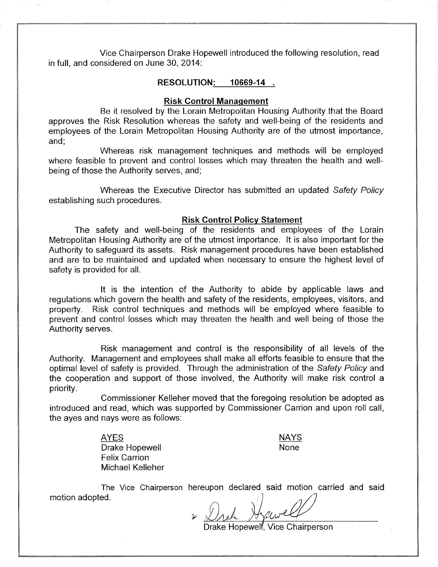Vice Chairperson Drake Hopewell introduced the following resolution, read in full, and considered on June 30, 2014:

#### **RESOLUTION:** 10669-14.

### **Risk Control Management**

Be it resolved by the Lorain Metropolitan Housing Authority that the Board approves the Risk Resolution whereas the safety and well-being of the residents and emplovees of the Lorain Metropolitan Housing Authority are of the utmost importance. and:

Whereas risk management techniques and methods will be employed where feasible to prevent and control losses which may threaten the health and wellbeing of those the Authority serves, and:

Whereas the Executive Director has submitted an updated Safety Policy establishing such procedures.

### **Risk Control Policy Statement**

The safety and well-being of the residents and employees of the Lorain Metropolitan Housing Authority are of the utmost importance. It is also important for the Authority to safequard its assets. Risk management procedures have been established and are to be maintained and updated when necessary to ensure the highest level of safety is provided for all.

It is the intention of the Authority to abide by applicable laws and regulations which govern the health and safety of the residents, employees, visitors, and property. Risk control techniques and methods will be employed where feasible to prevent and control losses which may threaten the health and well being of those the Authority serves.

Risk management and control is the responsibility of all levels of the Authority. Management and employees shall make all efforts feasible to ensure that the optimal level of safety is provided. Through the administration of the Safety Policy and the cooperation and support of those involved, the Authority will make risk control a priority.

Commissioner Kelleher moved that the foregoing resolution be adopted as introduced and read, which was supported by Commissioner Carrion and upon roll call, the ayes and nays were as follows:

> **AYES** Drake Hopewell **Felix Carrion** Michael Kelleher

**NAYS None** 

The Vice Chairperson hereupon declared said motion carried and said motion adopted.

Drake Hopewelf, Vice Chairperson